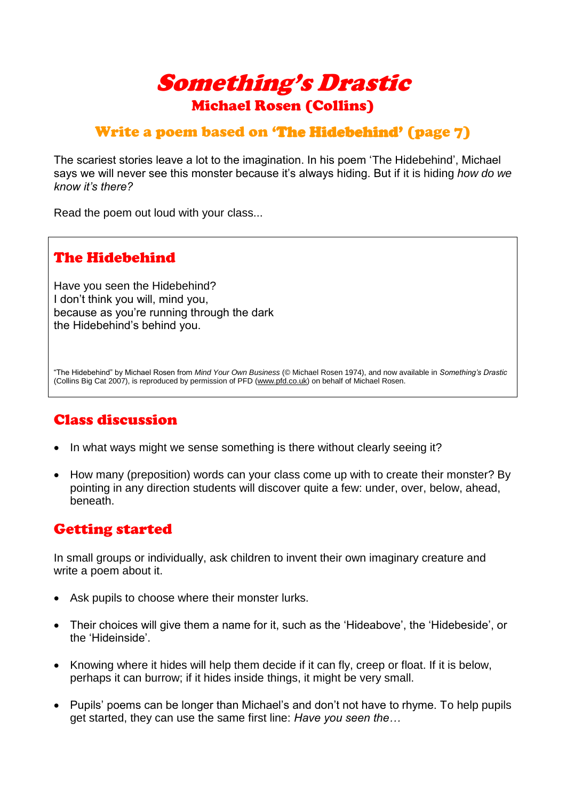

### Write a poem based on 'The Hidebehind' (page 7)

The scariest stories leave a lot to the imagination. In his poem 'The Hidebehind', Michael says we will never see this monster because it's always hiding. But if it is hiding *how do we know it's there?*

Read the poem out loud with your class...

# The Hidebehind

Have you seen the Hidebehind? I don't think you will, mind you, because as you're running through the dark the Hidebehind's behind you.

"The Hidebehind" by Michael Rosen from *Mind Your Own Business* (© Michael Rosen 1974), and now available in *Something's Drastic* (Collins Big Cat 2007), is reproduced by permission of PFD (www.pfd.co.uk) on behalf of Michael Rosen.

#### Class discussion

- In what ways might we sense something is there without clearly seeing it?
- How many (preposition) words can your class come up with to create their monster? By pointing in any direction students will discover quite a few: under, over, below, ahead, beneath.

### Getting started

In small groups or individually, ask children to invent their own imaginary creature and write a poem about it.

- Ask pupils to choose where their monster lurks.
- Their choices will give them a name for it, such as the 'Hideabove', the 'Hidebeside', or the 'Hideinside'.
- Knowing where it hides will help them decide if it can fly, creep or float. If it is below, perhaps it can burrow; if it hides inside things, it might be very small.
- Pupils' poems can be longer than Michael's and don't not have to rhyme. To help pupils get started, they can use the same first line: *Have you seen the…*